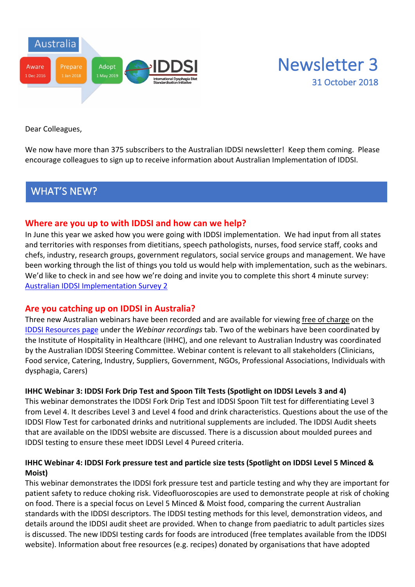



Dear Colleagues,

We now have more than 375 subscribers to the Australian IDDSI newsletter! Keep them coming. Please encourage colleagues to sign up to receive information about Australian Implementation of IDDSI.

# WHAT'S NEW?

## **Where are you up to with IDDSI and how can we help?**

In June this year we asked how you were going with IDDSI implementation. We had input from all states and territories with responses from dietitians, speech pathologists, nurses, food service staff, cooks and chefs, industry, research groups, government regulators, social service groups and management. We have been working through the list of things you told us would help with implementation, such as the webinars. We'd like to check in and see how we're doing and invite you to complete this short 4 minute survey: Australian IDDSI Implementation Survey 2

## **Are you catching up on IDDSI in Australia?**

Three new Australian webinars have been recorded and are available for viewing free of charge on the IDDSI Resources page under the *Webinar recordings* tab. Two of the webinars have been coordinated by the Institute of Hospitality in Healthcare (IHHC), and one relevant to Australian Industry was coordinated by the Australian IDDSI Steering Committee. Webinar content is relevant to all stakeholders (Clinicians, Food service, Catering, Industry, Suppliers, Government, NGOs, Professional Associations, Individuals with dysphagia, Carers)

### **IHHC Webinar 3: IDDSI Fork Drip Test and Spoon Tilt Tests (Spotlight on IDDSI Levels 3 and 4)**

This webinar demonstrates the IDDSI Fork Drip Test and IDDSI Spoon Tilt test for differentiating Level 3 from Level 4. It describes Level 3 and Level 4 food and drink characteristics. Questions about the use of the IDDSI Flow Test for carbonated drinks and nutritional supplements are included. The IDDSI Audit sheets that are available on the IDDSI website are discussed. There is a discussion about moulded purees and IDDSI testing to ensure these meet IDDSI Level 4 Pureed criteria.

### **IHHC Webinar 4: IDDSI Fork pressure test and particle size tests (Spotlight on IDDSI Level 5 Minced & Moist)**

This webinar demonstrates the IDDSI fork pressure test and particle testing and why they are important for patient safety to reduce choking risk. Videofluoroscopies are used to demonstrate people at risk of choking on food. There is a special focus on Level 5 Minced & Moist food, comparing the current Australian standards with the IDDSI descriptors. The IDDSI testing methods for this level, demonstration videos, and details around the IDDSI audit sheet are provided. When to change from paediatric to adult particles sizes is discussed. The new IDDSI testing cards for foods are introduced (free templates available from the IDDSI website). Information about free resources (e.g. recipes) donated by organisations that have adopted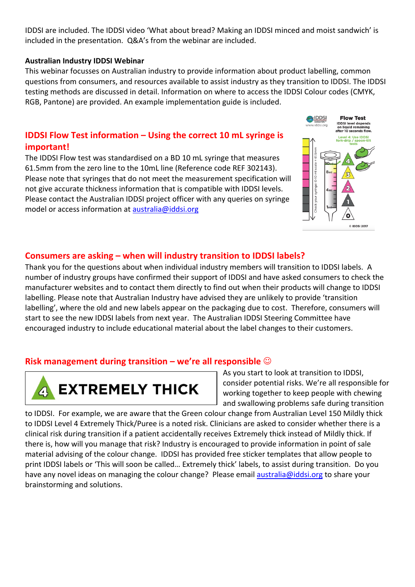IDDSI are included. The IDDSI video 'What about bread? Making an IDDSI minced and moist sandwich' is included in the presentation. Q&A's from the webinar are included.

### **Australian Industry IDDSI Webinar**

This webinar focusses on Australian industry to provide information about product labelling, common questions from consumers, and resources available to assist industry as they transition to IDDSI. The IDDSI testing methods are discussed in detail. Information on where to access the IDDSI Colour codes (CMYK, RGB, Pantone) are provided. An example implementation guide is included.

## **IDDSI Flow Test information – Using the correct 10 mL syringe is important!**

The IDDSI Flow test was standardised on a BD 10 mL syringe that measures 61.5mm from the zero line to the 10mL line (Reference code REF 302143). Please note that syringes that do not meet the measurement specification will not give accurate thickness information that is compatible with IDDSI levels. Please contact the Australian IDDSI project officer with any queries on syringe model or access information at australia@iddsi.org



## **Consumers are asking – when will industry transition to IDDSI labels?**

Thank you for the questions about when individual industry members will transition to IDDSI labels. A number of industry groups have confirmed their support of IDDSI and have asked consumers to check the manufacturer websites and to contact them directly to find out when their products will change to IDDSI labelling. Please note that Australian Industry have advised they are unlikely to provide 'transition labelling', where the old and new labels appear on the packaging due to cost. Therefore, consumers will start to see the new IDDSI labels from next year. The Australian IDDSI Steering Committee have encouraged industry to include educational material about the label changes to their customers.

## **Risk management during transition – we're all responsible**  $\odot$



As you start to look at transition to IDDSI, consider potential risks. We're all responsible for working together to keep people with chewing and swallowing problems safe during transition

to IDDSI. For example, we are aware that the Green colour change from Australian Level 150 Mildly thick to IDDSI Level 4 Extremely Thick/Puree is a noted risk. Clinicians are asked to consider whether there is a clinical risk during transition if a patient accidentally receives Extremely thick instead of Mildly thick. If there is, how will you manage that risk? Industry is encouraged to provide information in point of sale material advising of the colour change. IDDSI has provided free sticker templates that allow people to print IDDSI labels or 'This will soon be called… Extremely thick' labels, to assist during transition. Do you have any novel ideas on managing the colour change? Please email australia@iddsi.org to share your brainstorming and solutions.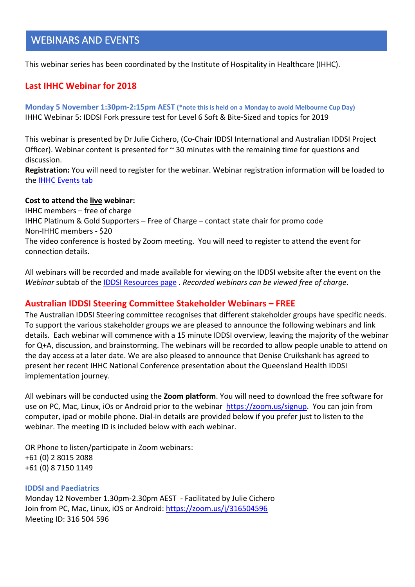# WEBINARS AND EVENTS

This webinar series has been coordinated by the Institute of Hospitality in Healthcare (IHHC).

### **Last IHHC Webinar for 2018**

**Monday 5 November 1:30pm-2:15pm AEST (\*note this is held on a Monday to avoid Melbourne Cup Day)** IHHC Webinar 5: IDDSI Fork pressure test for Level 6 Soft & Bite-Sized and topics for 2019

This webinar is presented by Dr Julie Cichero, (Co-Chair IDDSI International and Australian IDDSI Project Officer). Webinar content is presented for  $\sim$  30 minutes with the remaining time for questions and discussion.

**Registration:** You will need to register for the webinar. Webinar registration information will be loaded to the IHHC Events tab

#### **Cost to attend the live webinar:**

IHHC members – free of charge IHHC Platinum & Gold Supporters – Free of Charge – contact state chair for promo code Non-IHHC members - \$20 The video conference is hosted by Zoom meeting. You will need to register to attend the event for connection details.

All webinars will be recorded and made available for viewing on the IDDSI website after the event on the *Webinar* subtab of the IDDSI Resources page . *Recorded webinars can be viewed free of charge*.

### **Australian IDDSI Steering Committee Stakeholder Webinars – FREE**

The Australian IDDSI Steering committee recognises that different stakeholder groups have specific needs. To support the various stakeholder groups we are pleased to announce the following webinars and link details. Each webinar will commence with a 15 minute IDDSI overview, leaving the majority of the webinar for Q+A, discussion, and brainstorming. The webinars will be recorded to allow people unable to attend on the day access at a later date. We are also pleased to announce that Denise Cruikshank has agreed to present her recent IHHC National Conference presentation about the Queensland Health IDDSI implementation journey.

All webinars will be conducted using the **Zoom platform**. You will need to download the free software for use on PC, Mac, Linux, iOs or Android prior to the webinar https://zoom.us/signup. You can join from computer, ipad or mobile phone. Dial-in details are provided below if you prefer just to listen to the webinar. The meeting ID is included below with each webinar.

OR Phone to listen/participate in Zoom webinars: +61 (0) 2 8015 2088 +61 (0) 8 7150 1149

#### **IDDSI and Paediatrics**

Monday 12 November 1.30pm-2.30pm AEST - Facilitated by Julie Cichero Join from PC, Mac, Linux, iOS or Android: https://zoom.us/j/316504596 Meeting ID: 316 504 596